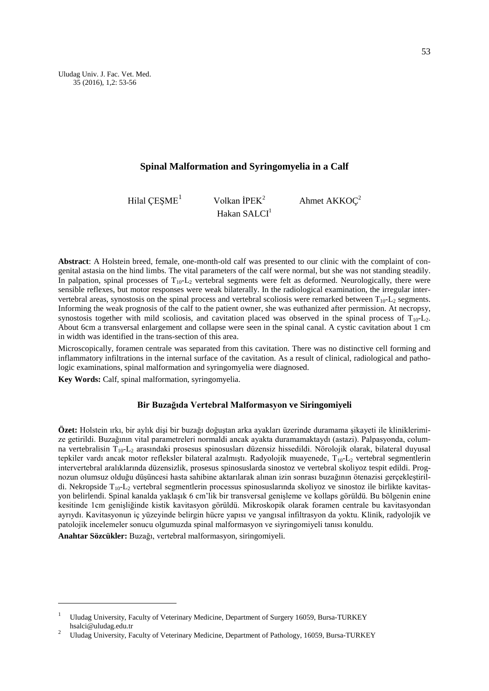Uludag Univ. J. Fac. Vet. Med. 35 (2016), 1,2: 53-56

# **Spinal Malformation and Syringomyelia in a Calf**

Hilal CESME<sup>[1](#page-0-0)</sup>

Volkan İPEK<sup>2</sup> Hakan SAL $Cl<sup>1</sup>$  Ahmet AKKOÇ2

**Abstract**: A Holstein breed, female, one-month-old calf was presented to our clinic with the complaint of congenital astasia on the hind limbs. The vital parameters of the calf were normal, but she was not standing steadily. In palpation, spinal processes of  $T_{10}$ -L<sub>2</sub> vertebral segments were felt as deformed. Neurologically, there were sensible reflexes, but motor responses were weak bilaterally. In the radiological examination, the irregular intervertebral areas, synostosis on the spinal process and vertebral scoliosis were remarked between  $T_{10}$ - $L_2$  segments. Informing the weak prognosis of the calf to the patient owner, she was euthanized after permission. At necropsy, synostosis together with mild scoliosis, and cavitation placed was observed in the spinal process of  $T_{10}$ -L<sub>2</sub>. About 6cm a transversal enlargement and collapse were seen in the spinal canal. A cystic cavitation about 1 cm in width was identified in the trans-section of this area.

Microscopically, foramen centrale was separated from this cavitation. There was no distinctive cell forming and inflammatory infiltrations in the internal surface of the cavitation. As a result of clinical, radiological and pathologic examinations, spinal malformation and syringomyelia were diagnosed.

**Key Words:** Calf, spinal malformation, syringomyelia.

#### **Bir Buzağıda Vertebral Malformasyon ve Siringomiyeli**

**Özet:** Holstein ırkı, bir aylık dişi bir buzağı doğuştan arka ayakları üzerinde duramama şikayeti ile kliniklerimize getirildi. Buzağının vital parametreleri normaldi ancak ayakta duramamaktaydı (astazi). Palpasyonda, columna vertebralisin T10-L2 arasındaki prosesus spinosusları düzensiz hissedildi. Nörolojik olarak, bilateral duyusal tepkiler vardı ancak motor refleksler bilateral azalmıştı. Radyolojik muayenede,  $T_{10}L_2$  vertebral segmentlerin intervertebral aralıklarında düzensizlik, prosesus spinosuslarda sinostoz ve vertebral skoliyoz tespit edildi. Prognozun olumsuz olduğu düşüncesi hasta sahibine aktarılarak alınan izin sonrası buzağının ötenazisi gerçekleştirildi. Nekropside  $T_{10}$ -L<sub>2</sub> vertebral segmentlerin processus spinosuslarında skoliyoz ve sinostoz ile birlikte kavitasyon belirlendi. Spinal kanalda yaklaşık 6 cm'lik bir transversal genişleme ve kollaps görüldü. Bu bölgenin enine kesitinde 1cm genişliğinde kistik kavitasyon görüldü. Mikroskopik olarak foramen centrale bu kavitasyondan ayrıydı. Kavitasyonun iç yüzeyinde belirgin hücre yapısı ve yangısal infiltrasyon da yoktu. Klinik, radyolojik ve patolojik incelemeler sonucu olgumuzda spinal malformasyon ve siyringomiyeli tanısı konuldu.

**Anahtar Sözcükler:** Buzağı, vertebral malformasyon, siringomiyeli.

-

<span id="page-0-0"></span><sup>1</sup> Uludag University, Faculty of Veterinary Medicine, Department of Surgery 16059, Bursa-TURKEY hsalci@uludag.edu.tr<br> 2 Uludag University, Faculty of Veterinary Medicine, Department of Pathology, 16059, Bursa-TURKEY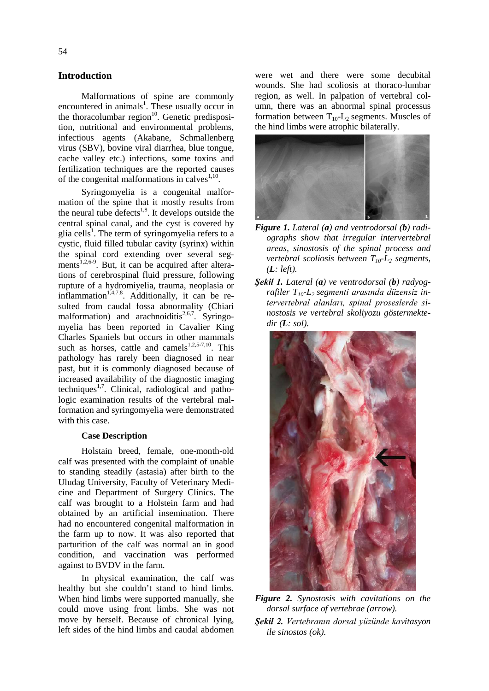# **Introduction**

Malformations of spine are commonly encountered in animals<sup>1</sup>. These usually occur in the thoracolumbar region $10$ . Genetic predisposition, nutritional and environmental problems, infectious agents (Akabane, Schmallenberg virus (SBV), bovine viral diarrhea, blue tongue, cache valley etc.) infections, some toxins and fertilization techniques are the reported causes of the congenital malformations in calves $1,10$ .

Syringomyelia is a congenital malformation of the spine that it mostly results from the neural tube defects $1,8$ . It develops outside the central spinal canal, and the cyst is covered by glia cells<sup>1</sup>. The term of syringomyelia refers to a cystic, fluid filled tubular cavity (syrinx) within the spinal cord extending over several segments<sup>1,2,6-9</sup>. But, it can be acquired after alterations of cerebrospinal fluid pressure, following rupture of a hydromiyelia, trauma, neoplasia or inflammation<sup>1,4,7,8</sup>. Additionally, it can be resulted from caudal fossa abnormality (Chiari malformation) and arachnoiditis<sup>2,6,7</sup>. Syringomyelia has been reported in Cavalier King Charles Spaniels but occurs in other mammals such as horses, cattle and camels<sup>1,2,5-7,10</sup>. This pathology has rarely been diagnosed in near past, but it is commonly diagnosed because of increased availability of the diagnostic imaging techniques $1,7$ . Clinical, radiological and pathologic examination results of the vertebral malformation and syringomyelia were demonstrated with this case.

## **Case Description**

Holstain breed, female, one-month-old calf was presented with the complaint of unable to standing steadily (astasia) after birth to the Uludag University, Faculty of Veterinary Medicine and Department of Surgery Clinics. The calf was brought to a Holstein farm and had obtained by an artificial insemination. There had no encountered congenital malformation in the farm up to now. It was also reported that parturition of the calf was normal an in good condition, and vaccination was performed against to BVDV in the farm.

In physical examination, the calf was healthy but she couldn't stand to hind limbs. When hind limbs were supported manually, she could move using front limbs. She was not move by herself. Because of chronical lying, left sides of the hind limbs and caudal abdomen were wet and there were some decubital wounds. She had scoliosis at thoraco-lumbar region, as well. In palpation of vertebral column, there was an abnormal spinal processus formation between  $T_{10}$ -L<sub>2</sub> segments. Muscles of the hind limbs were atrophic bilaterally.



- *Figure 1. Lateral (a) and ventrodorsal (b) radiographs show that irregular intervertebral areas, sinostosis of the spinal process and vertebral scoliosis between*  $T_{10}$ - $L_2$  *segments, (L: left).*
- *Şekil 1. Lateral (a) ve ventrodorsal (b) radyografiler T10-L2 segmenti arasında düzensiz intervertebral alanları, spinal proseslerde sinostosis ve vertebral skoliyozu göstermektedir (L: sol).*



*Figure 2. Synostosis with cavitations on the dorsal surface of vertebrae (arrow). Şekil 2. Vertebranın dorsal yüzünde kavitasyon ile sinostos (ok).*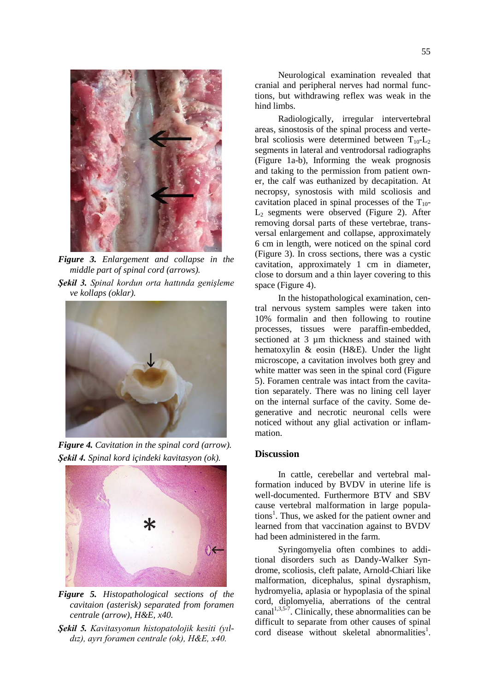

*Figure 3. Enlargement and collapse in the middle part of spinal cord (arrows). Şekil 3. Spinal kordun orta hattında genişleme ve kollaps (oklar).*



*Figure 4. Cavitation in the spinal cord (arrow). Şekil 4. Spinal kord içindeki kavitasyon (ok).*



*Figure 5. Histopathological sections of the cavitaion (asterisk) separated from foramen centrale (arrow), H&E, x40.*

*Şekil 5. Kavitasyonun histopatolojik kesiti (yıldız), ayrı foramen centrale (ok), H&E, x40.*

Neurological examination revealed that cranial and peripheral nerves had normal functions, but withdrawing reflex was weak in the hind limbs.

Radiologically, irregular intervertebral areas, sinostosis of the spinal process and vertebral scoliosis were determined between  $T_{10}$ -L<sub>2</sub> segments in lateral and ventrodorsal radiographs (Figure 1a-b), Informing the weak prognosis and taking to the permission from patient owner, the calf was euthanized by decapitation. At necropsy, synostosis with mild scoliosis and cavitation placed in spinal processes of the  $T_{10}$ - $L_2$  segments were observed (Figure 2). After removing dorsal parts of these vertebrae, transversal enlargement and collapse, approximately 6 cm in length, were noticed on the spinal cord (Figure 3). In cross sections, there was a cystic cavitation, approximately 1 cm in diameter, close to dorsum and a thin layer covering to this space (Figure 4).

In the histopathological examination, central nervous system samples were taken into 10% formalin and then following to routine processes, tissues were paraffin-embedded, sectioned at 3  $\mu$ m thickness and stained with hematoxylin & eosin (H&E). Under the light microscope, a cavitation involves both grey and white matter was seen in the spinal cord (Figure) 5). Foramen centrale was intact from the cavitation separately. There was no lining cell layer on the internal surface of the cavity. Some degenerative and necrotic neuronal cells were noticed without any glial activation or inflammation.

### **Discussion**

In cattle, cerebellar and vertebral malformation induced by BVDV in uterine life is well-documented. Furthermore BTV and SBV cause vertebral malformation in large populations<sup>1</sup>. Thus, we asked for the patient owner and learned from that vaccination against to BVDV had been administered in the farm.

Syringomyelia often combines to additional disorders such as Dandy-Walker Syndrome, scoliosis, cleft palate, Arnold-Chiari like malformation, dicephalus, spinal dysraphism, hydromyelia, aplasia or hypoplasia of the spinal cord, diplomyelia, aberrations of the central canal<sup>1,3,5-7</sup>. Clinically, these abnormalities can be difficult to separate from other causes of spinal cord disease without skeletal abnormalities<sup>1</sup>.